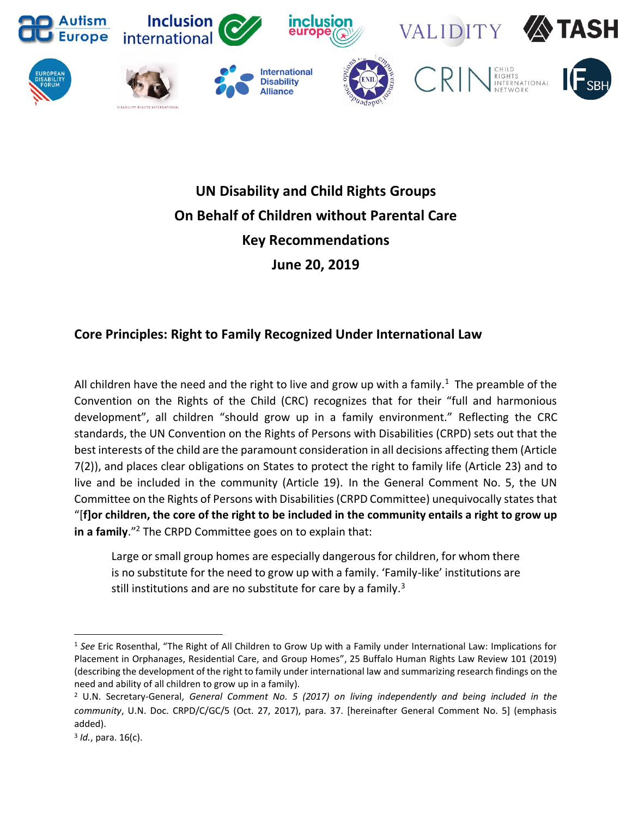

## **UN Disability and Child Rights Groups On Behalf of Children without Parental Care Key Recommendations June 20, 2019**

## **Core Principles: Right to Family Recognized Under International Law**

All children have the need and the right to live and grow up with a family.<sup>1</sup> The preamble of the Convention on the Rights of the Child (CRC) recognizes that for their "full and harmonious development", all children "should grow up in a family environment." Reflecting the CRC standards, the UN Convention on the Rights of Persons with Disabilities (CRPD) sets out that the best interests of the child are the paramount consideration in all decisions affecting them (Article 7(2)), and places clear obligations on States to protect the right to family life (Article 23) and to live and be included in the community (Article 19). In the General Comment No. 5, the UN Committee on the Rights of Persons with Disabilities (CRPD Committee) unequivocally states that "[**f]or children, the core of the right to be included in the community entails a right to grow up in a family**."<sup>2</sup> The CRPD Committee goes on to explain that:

Large or small group homes are especially dangerous for children, for whom there is no substitute for the need to grow up with a family. 'Family-like' institutions are still institutions and are no substitute for care by a family. $3$ 

 $\overline{a}$ 

<sup>1</sup> *See* Eric Rosenthal, "The Right of All Children to Grow Up with a Family under International Law: Implications for Placement in Orphanages, Residential Care, and Group Homes", 25 Buffalo Human Rights Law Review 101 (2019) (describing the development of the right to family under international law and summarizing research findings on the need and ability of all children to grow up in a family).

<sup>2</sup> U.N. Secretary-General, *General Comment No. 5 (2017) on living independently and being included in the community*, U.N. Doc. CRPD/C/GC/5 (Oct. 27, 2017), para. 37. [hereinafter General Comment No. 5] (emphasis added).

<sup>3</sup> *Id.*, para. 16(c).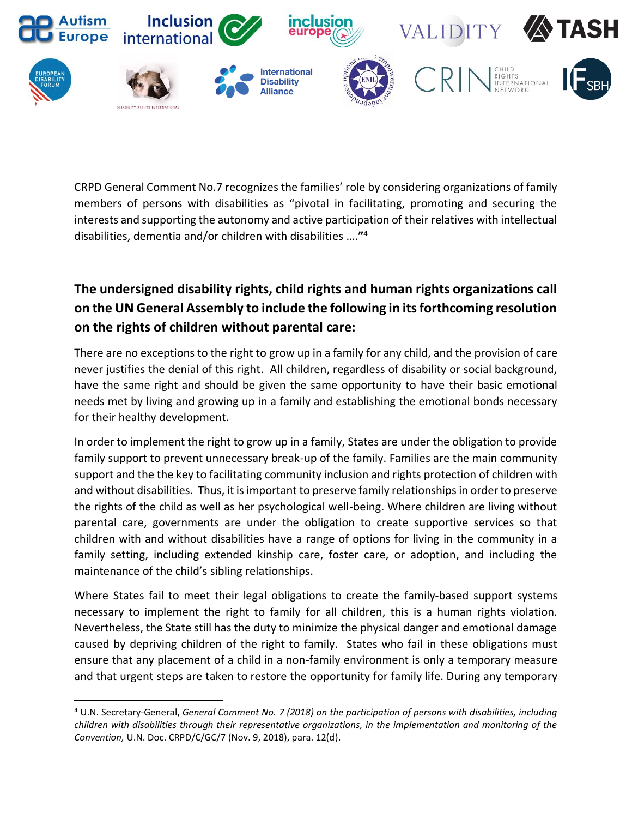

CRPD General Comment No.7 recognizes the families' role by considering organizations of family members of persons with disabilities as "pivotal in facilitating, promoting and securing the interests and supporting the autonomy and active participation of their relatives with intellectual disabilities, dementia and/or children with disabilities ….**"** 4

## **The undersigned disability rights, child rights and human rights organizations call on the UN General Assembly to include the following in its forthcoming resolution on the rights of children without parental care:**

There are no exceptions to the right to grow up in a family for any child, and the provision of care never justifies the denial of this right. All children, regardless of disability or social background, have the same right and should be given the same opportunity to have their basic emotional needs met by living and growing up in a family and establishing the emotional bonds necessary for their healthy development.

In order to implement the right to grow up in a family, States are under the obligation to provide family support to prevent unnecessary break-up of the family. Families are the main community support and the the key to facilitating community inclusion and rights protection of children with and without disabilities. Thus, it is important to preserve family relationships in order to preserve the rights of the child as well as her psychological well-being. Where children are living without parental care, governments are under the obligation to create supportive services so that children with and without disabilities have a range of options for living in the community in a family setting, including extended kinship care, foster care, or adoption, and including the maintenance of the child's sibling relationships.

Where States fail to meet their legal obligations to create the family-based support systems necessary to implement the right to family for all children, this is a human rights violation. Nevertheless, the State still has the duty to minimize the physical danger and emotional damage caused by depriving children of the right to family. States who fail in these obligations must ensure that any placement of a child in a non-family environment is only a temporary measure and that urgent steps are taken to restore the opportunity for family life. During any temporary

 $\overline{a}$ 

<sup>4</sup> U.N. Secretary-General, *General Comment No. 7 (2018) on the participation of persons with disabilities, including children with disabilities through their representative organizations, in the implementation and monitoring of the Convention,* U.N. Doc. CRPD/C/GC/7 (Nov. 9, 2018), para. 12(d).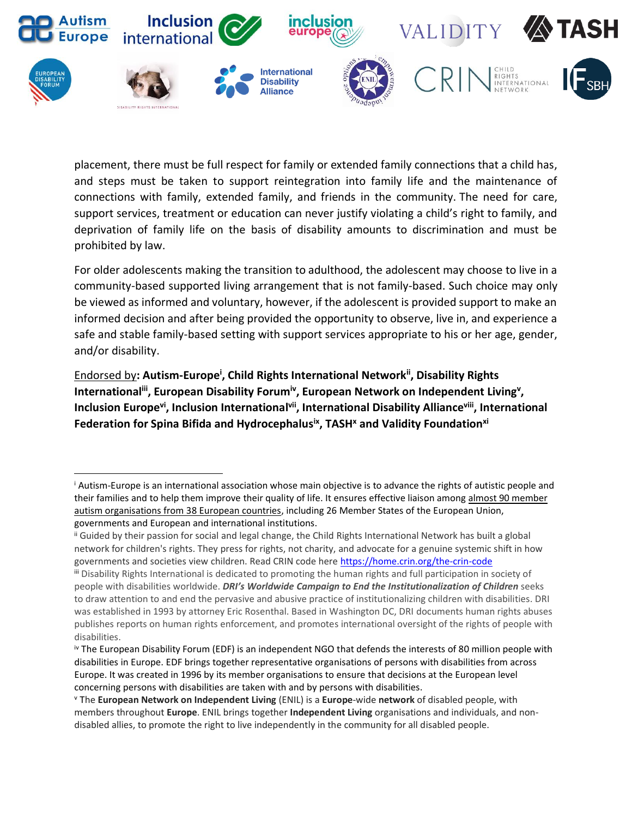

placement, there must be full respect for family or extended family connections that a child has, and steps must be taken to support reintegration into family life and the maintenance of connections with family, extended family, and friends in the community. The need for care, support services, treatment or education can never justify violating a child's right to family, and deprivation of family life on the basis of disability amounts to discrimination and must be prohibited by law.

For older adolescents making the transition to adulthood, the adolescent may choose to live in a community-based supported living arrangement that is not family-based. Such choice may only be viewed as informed and voluntary, however, if the adolescent is provided support to make an informed decision and after being provided the opportunity to observe, live in, and experience a safe and stable family-based setting with support services appropriate to his or her age, gender, and/or disability.

Endorsed by**: Autism-Europe<sup>i</sup> , Child Rights International Networkii, Disability Rights**  International<sup>iii</sup>, European Disability Forum<sup>iv</sup>, European Network on Independent Living<sup>v</sup>, Inclusion Europe<sup>vi</sup>, Inclusion International<sup>vii</sup>, International Disability Alliance<sup>viii</sup>, International **Federation for Spina Bifida and Hydrocephalusix , TASH<sup>x</sup> and Validity Foundationxi**

l

<sup>i</sup> Autism-Europe is an international association whose main objective is to advance the rights of autistic people and their families and to help them improve their quality of life. It ensures effective liaison among [almost 90 member](http://www.autismeurope.org/who-we-are/our-members/)  [autism organisations from 38 European countries,](http://www.autismeurope.org/who-we-are/our-members/) including 26 Member States of the European Union, governments and European and international institutions.

ii Guided by their passion for social and legal change, the Child Rights International Network has built a global network for children's rights. They press for rights, not charity, and advocate for a genuine systemic shift in how governments and societies view children. Read CRIN code her[e https://home.crin.org/the-crin-code](https://home.crin.org/the-crin-code)

iii Disability Rights International is dedicated to promoting the human rights and full participation in society of people with disabilities worldwide. *DRI's Worldwide Campaign to End the Institutionalization of Children* seeks to draw attention to and end the pervasive and abusive practice of institutionalizing children with disabilities. DRI was established in 1993 by attorney Eric Rosenthal. Based in Washington DC, DRI documents human rights abuses publishes reports on human rights enforcement, and promotes international oversight of the rights of people with disabilities.

iv The European Disability Forum (EDF) is an independent NGO that defends the interests of 80 million people with disabilities in Europe. EDF brings together representative organisations of persons with disabilities from across Europe. It was created in 1996 by its member organisations to ensure that decisions at the European level concerning persons with disabilities are taken with and by persons with disabilities.

<sup>v</sup> The **European Network on Independent Living** (ENIL) is a **Europe**-wide **network** of disabled people, with members throughout **Europe**. ENIL brings together **Independent Living** organisations and individuals, and nondisabled allies, to promote the right to live independently in the community for all disabled people.